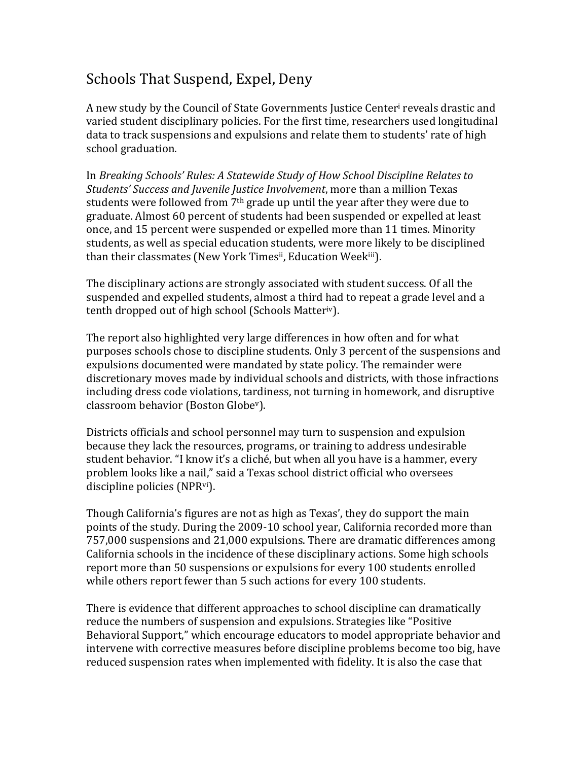## Schools That Suspend, Expel, Deny

A new study by the Council of State Governments Justice Center<sup>i</sup> reveals drastic and varied student disciplinary policies. For the first time, researchers used longitudinal data to track suspensions and expulsions and relate them to students' rate of high school graduation.

In *Breaking Schools' Rules: A Statewide Study of How School Discipline Relates to Students')Success)and)Juvenile)Justice)Involvement*,'more'than'a'million'Texas' students were followed from  $7<sup>th</sup>$  grade up until the year after they were due to graduate. Almost 60 percent of students had been suspended or expelled at least once, and 15 percent were suspended or expelled more than 11 times. Minority students, as well as special education students, were more likely to be disciplined than their classmates (New York Timesii, Education Weekiii).

The disciplinary actions are strongly associated with student success. Of all the suspended and expelled students, almost a third had to repeat a grade level and a tenth dropped out of high school (Schools Matteriv).

The report also highlighted very large differences in how often and for what purposes schools chose to discipline students. Only 3 percent of the suspensions and expulsions documented were mandated by state policy. The remainder were discretionary moves made by individual schools and districts, with those infractions including dress code violations, tardiness, not turning in homework, and disruptive classroom behavior (Boston Globe<sup>v</sup>).

Districts officials and school personnel may turn to suspension and expulsion because they lack the resources, programs, or training to address undesirable student behavior. "I know it's a cliché, but when all you have is a hammer, every problem looks like a nail," said a Texas school district official who oversees discipline policies (NPR<sup>vi</sup>).

Though California's figures are not as high as Texas', they do support the main points of the study. During the 2009-10 school year, California recorded more than 757,000 suspensions and 21,000 expulsions. There are dramatic differences among California schools in the incidence of these disciplinary actions. Some high schools' report more than 50 suspensions or expulsions for every 100 students enrolled while others report fewer than 5 such actions for every 100 students.

There is evidence that different approaches to school discipline can dramatically reduce the numbers of suspension and expulsions. Strategies like "Positive" Behavioral Support," which encourage educators to model appropriate behavior and intervene with corrective measures before discipline problems become too big, have reduced suspension rates when implemented with fidelity. It is also the case that